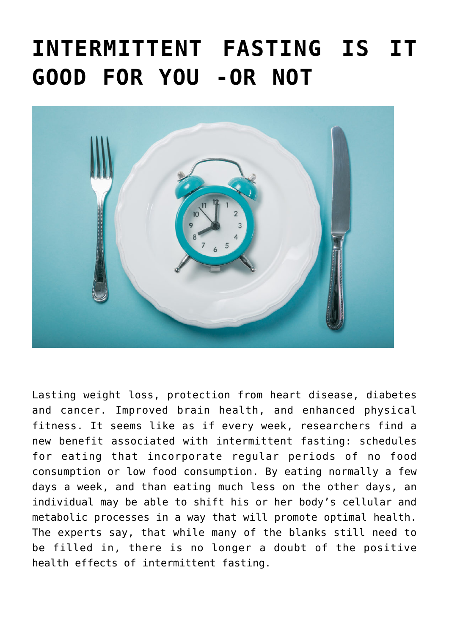## **[INTERMITTENT FASTING IS IT](https://beautiflworid.com/intermittent-fasting-is-it-good-for-you-or-not) [GOOD FOR YOU -OR NOT](https://beautiflworid.com/intermittent-fasting-is-it-good-for-you-or-not)**



Lasting weight loss, protection from heart disease, diabetes and cancer. Improved brain health, and enhanced physical fitness. It seems like as if every week, researchers find a new benefit associated with intermittent fasting: schedules for eating that incorporate regular periods of no food consumption or low food consumption. By eating normally a few days a week, and than eating much less on the other days, an individual may be able to shift his or her body's cellular and metabolic processes in a way that will promote optimal health. The experts say, that while many of the blanks still need to be filled in, there is no longer a doubt of the positive health effects of intermittent fasting.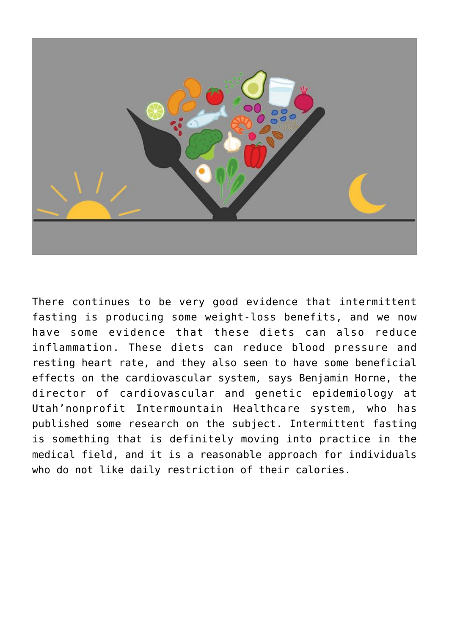

There continues to be very good evidence that intermittent fasting is producing some weight-loss benefits, and we now have some evidence that these diets can also reduce inflammation. These diets can reduce blood pressure and resting heart rate, and they also seen to have some beneficial effects on the cardiovascular system, says Benjamin Horne, the director of cardiovascular and genetic epidemiology at Utah'nonprofit Intermountain Healthcare system, who has published some research on the subject. Intermittent fasting is something that is definitely moving into practice in the medical field, and it is a reasonable approach for individuals who do not like daily restriction of their calories.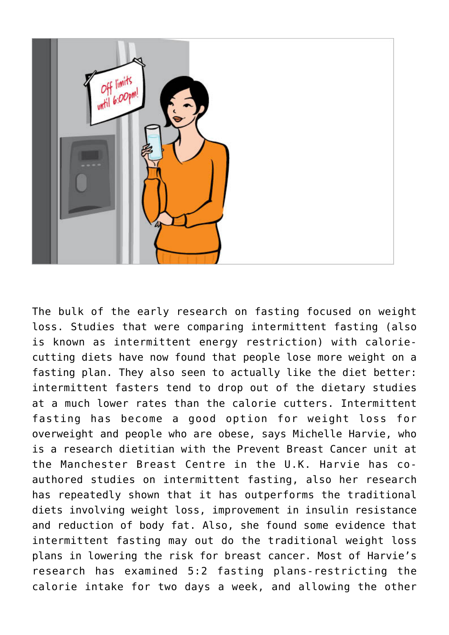

The bulk of the early research on fasting focused on weight loss. Studies that were comparing intermittent fasting (also is known as intermittent energy restriction) with caloriecutting diets have now found that people lose more weight on a fasting plan. They also seen to actually like the diet better: intermittent fasters tend to drop out of the dietary studies at a much lower rates than the calorie cutters. Intermittent fasting has become a good option for weight loss for overweight and people who are obese, says Michelle Harvie, who is a research dietitian with the Prevent Breast Cancer unit at the Manchester Breast Centre in the U.K. Harvie has coauthored studies on intermittent fasting, also her research has repeatedly shown that it has outperforms the traditional diets involving weight loss, improvement in insulin resistance and reduction of body fat. Also, she found some evidence that intermittent fasting may out do the traditional weight loss plans in lowering the risk for breast cancer. Most of Harvie's research has examined 5:2 fasting plans-restricting the calorie intake for two days a week, and allowing the other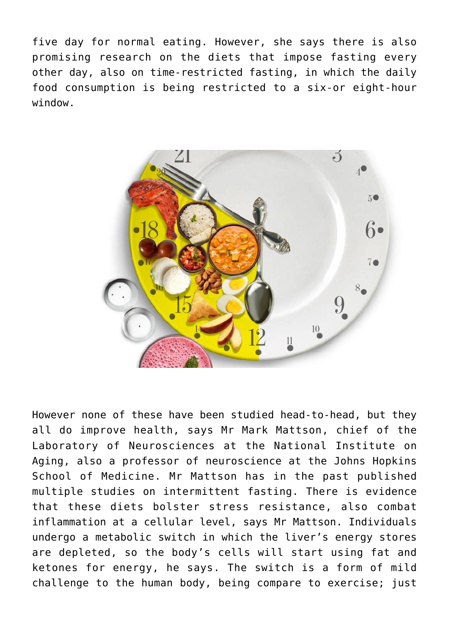five day for normal eating. However, she says there is also promising research on the diets that impose fasting every other day, also on time-restricted fasting, in which the daily food consumption is being restricted to a six-or eight-hour window.



However none of these have been studied head-to-head, but they all do improve health, says Mr Mark Mattson, chief of the Laboratory of Neurosciences at the National Institute on Aging, also a professor of neuroscience at the Johns Hopkins School of Medicine. Mr Mattson has in the past published multiple studies on intermittent fasting. There is evidence that these diets bolster stress resistance, also combat inflammation at a cellular level, says Mr Mattson. Individuals undergo a metabolic switch in which the liver's energy stores are depleted, so the body's cells will start using fat and ketones for energy, he says. The switch is a form of mild challenge to the human body, being compare to exercise; just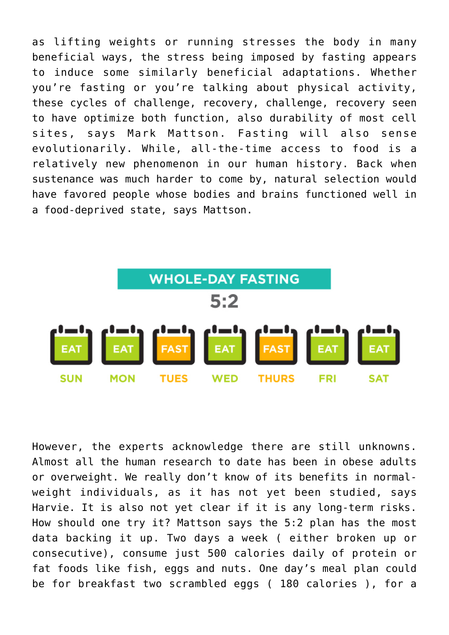as lifting weights or running stresses the body in many beneficial ways, the stress being imposed by fasting appears to induce some similarly beneficial adaptations. Whether you're fasting or you're talking about physical activity, these cycles of challenge, recovery, challenge, recovery seen to have optimize both function, also durability of most cell sites, says Mark Mattson. Fasting will also sense evolutionarily. While, all-the-time access to food is a relatively new phenomenon in our human history. Back when sustenance was much harder to come by, natural selection would have favored people whose bodies and brains functioned well in a food-deprived state, says Mattson.



However, the experts acknowledge there are still unknowns. Almost all the human research to date has been in obese adults or overweight. We really don't know of its benefits in normalweight individuals, as it has not yet been studied, says Harvie. It is also not yet clear if it is any long-term risks. How should one try it? Mattson says the 5:2 plan has the most data backing it up. Two days a week ( either broken up or consecutive), consume just 500 calories daily of protein or fat foods like fish, eggs and nuts. One day's meal plan could be for breakfast two scrambled eggs ( 180 calories ), for a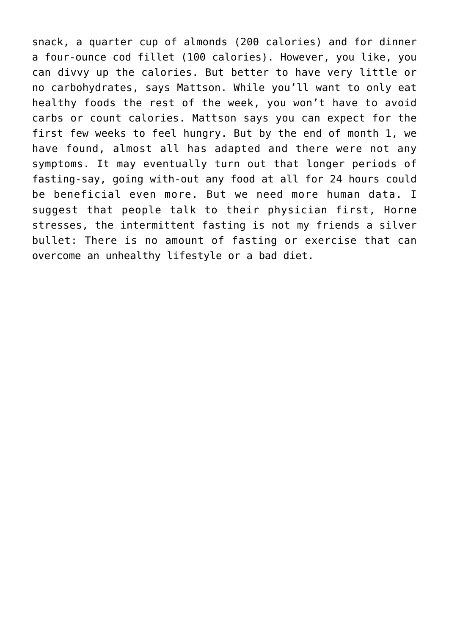snack, a quarter cup of almonds (200 calories) and for dinner a four-ounce cod fillet (100 calories). However, you like, you can divvy up the calories. But better to have very little or no carbohydrates, says Mattson. While you'll want to only eat healthy foods the rest of the week, you won't have to avoid carbs or count calories. Mattson says you can expect for the first few weeks to feel hungry. But by the end of month 1, we have found, almost all has adapted and there were not any symptoms. It may eventually turn out that longer periods of fasting-say, going with-out any food at all for 24 hours could be beneficial even more. But we need more human data. I suggest that people talk to their physician first, Horne stresses, the intermittent fasting is not my friends a silver bullet: There is no amount of fasting or exercise that can overcome an unhealthy lifestyle or a bad diet.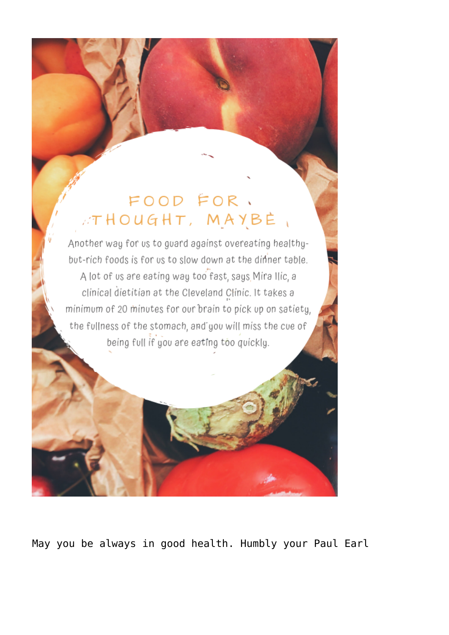## FOOD FOR. ATHOUGHT, MAYBE,

Another way for us to guard against overeating healthybut-rich foods is for us to slow down at the dinner table. A lot of us are eating way too fast, says Mira Ilic, a clinical dietitian at the Cleveland Clinic. It takes a minimum of 20 minutes for our brain to pick up on satiety, the fullness of the stomach, and you will miss the cue of being full if you are eating too quickly.

May you be always in good health. Humbly your Paul Earl